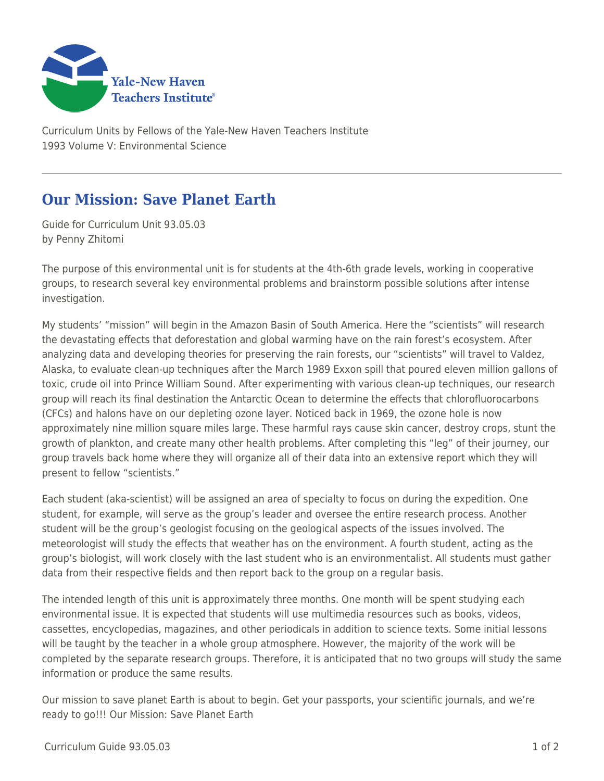

Curriculum Units by Fellows of the Yale-New Haven Teachers Institute 1993 Volume V: Environmental Science

## **Our Mission: Save Planet Earth**

Guide for Curriculum Unit 93.05.03 by Penny Zhitomi

The purpose of this environmental unit is for students at the 4th-6th grade levels, working in cooperative groups, to research several key environmental problems and brainstorm possible solutions after intense investigation.

My students' "mission" will begin in the Amazon Basin of South America. Here the "scientists" will research the devastating effects that deforestation and global warming have on the rain forest's ecosystem. After analyzing data and developing theories for preserving the rain forests, our "scientists" will travel to Valdez, Alaska, to evaluate clean-up techniques after the March 1989 Exxon spill that poured eleven million gallons of toxic, crude oil into Prince William Sound. After experimenting with various clean-up techniques, our research group will reach its final destination the Antarctic Ocean to determine the effects that chlorofluorocarbons (CFCs) and halons have on our depleting ozone layer. Noticed back in 1969, the ozone hole is now approximately nine million square miles large. These harmful rays cause skin cancer, destroy crops, stunt the growth of plankton, and create many other health problems. After completing this "leg" of their journey, our group travels back home where they will organize all of their data into an extensive report which they will present to fellow "scientists."

Each student (aka-scientist) will be assigned an area of specialty to focus on during the expedition. One student, for example, will serve as the group's leader and oversee the entire research process. Another student will be the group's geologist focusing on the geological aspects of the issues involved. The meteorologist will study the effects that weather has on the environment. A fourth student, acting as the group's biologist, will work closely with the last student who is an environmentalist. All students must gather data from their respective fields and then report back to the group on a regular basis.

The intended length of this unit is approximately three months. One month will be spent studying each environmental issue. It is expected that students will use multimedia resources such as books, videos, cassettes, encyclopedias, magazines, and other periodicals in addition to science texts. Some initial lessons will be taught by the teacher in a whole group atmosphere. However, the majority of the work will be completed by the separate research groups. Therefore, it is anticipated that no two groups will study the same information or produce the same results.

Our mission to save planet Earth is about to begin. Get your passports, your scientific journals, and we're ready to go!!! Our Mission: Save Planet Earth